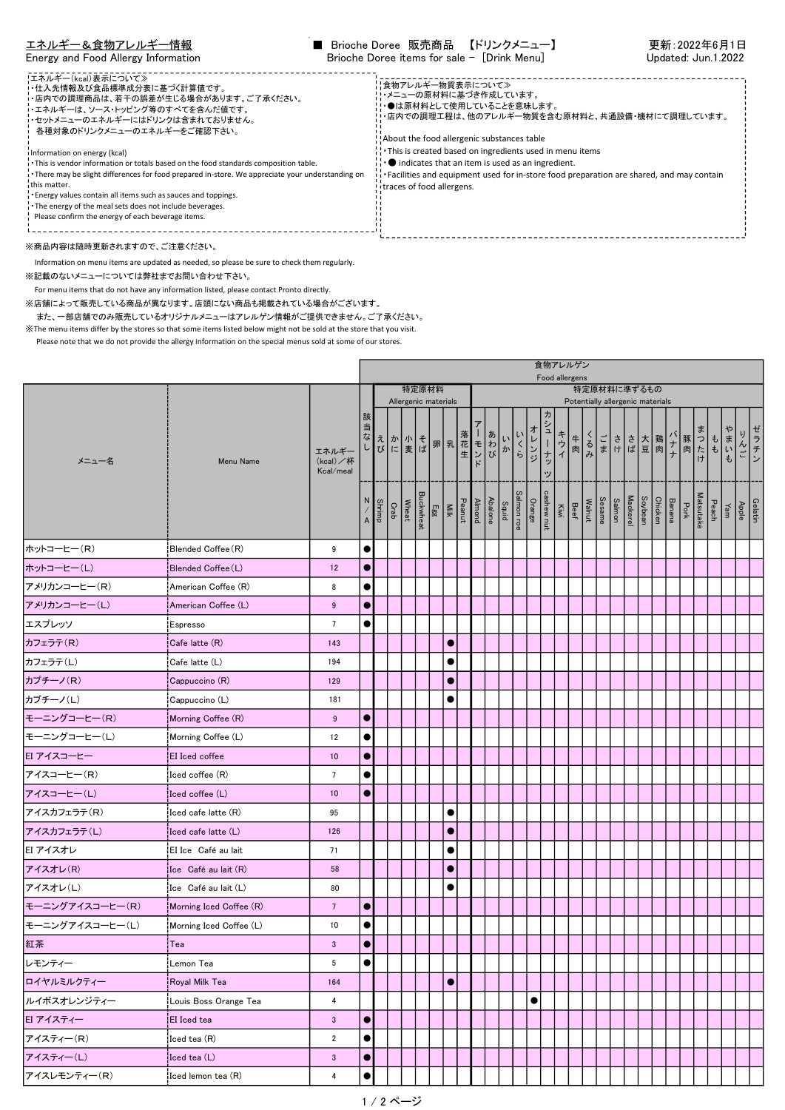| !エネルギー(kcal)表示について≫<br>・・仕入先情報及び食品標準成分表に基づく計算値です。<br>・店内での調理商品は、若干の誤差が生じる場合があります。ご了承ください。<br>・エネルギーは、ソース・トッピング等のすべてを含んだ値です。<br>・セットメニューのエネルギーにはドリンクは含まれておりません。<br>各種対象のドリンクメニューのエネルギーをご確認下さい。<br>i Information on energy (kcal)<br>. This is vendor information or totals based on the food standards composition table.<br>There may be slight differences for food prepared in-store. We appreciate your understanding on<br>this matter.<br>Energy values contain all items such as sauces and toppings.<br>The energy of the meal sets does not include beverages.<br>Please confirm the energy of each beverage items. | ¦¦食物アレルギー物質表示について≫<br>!・メニューの原材料に基づき作成しています。<br>!・●は原材料として使用していることを意味します。<br>!・店内での調理工程は、他のアレルギー物質を含む原材料と、共通設備・機材にて調理しています。<br>About the food allergenic substances table<br>: This is created based on ingredients used in menu items<br>$\cdot \bullet$ indicates that an item is used as an ingredient.<br>Facilities and equipment used for in-store food preparation are shared, and may contain<br>itraces of food allergens. |
|-----------------------------------------------------------------------------------------------------------------------------------------------------------------------------------------------------------------------------------------------------------------------------------------------------------------------------------------------------------------------------------------------------------------------------------------------------------------------------------------------------------------------------------------------------------------------------------------------------------------------------|-------------------------------------------------------------------------------------------------------------------------------------------------------------------------------------------------------------------------------------------------------------------------------------------------------------------------------------------------------------------------------------------------------------------------------------|
|                                                                                                                                                                                                                                                                                                                                                                                                                                                                                                                                                                                                                             |                                                                                                                                                                                                                                                                                                                                                                                                                                     |

※商品内容は随時更新されますので、ご注意ください。

Information on menu items are updated as needed, so please be sure to check them regularly.

※記載のないメニューについては弊社までお問い合わせ下さい。

For menu items that do not have any information listed, please contact Pronto directly.

※店舗によって販売している商品が異なります。店頭にない商品も掲載されている場合がございます。 また、一部店舗でのみ販売しているオリジナルメニューはアレルゲン情報がご提供できません。ご了承ください。 ※The menu items differ by the stores so that some items listed below might not be sold at the store that you visit.

Please note that we do not provide the allergy information on the special menus sold at some of our stores.

|                 | 食物アレルゲン<br>Food allergens                          |                                |                   |  |                                                       |       |  |                                                                         |  |  |                                 |  |                               |            |     |  |                                        |  |                    |  |                                |     |  |                             |              |      |                                                                                                                        |      |
|-----------------|----------------------------------------------------|--------------------------------|-------------------|--|-------------------------------------------------------|-------|--|-------------------------------------------------------------------------|--|--|---------------------------------|--|-------------------------------|------------|-----|--|----------------------------------------|--|--------------------|--|--------------------------------|-----|--|-----------------------------|--------------|------|------------------------------------------------------------------------------------------------------------------------|------|
| メニュー名           |                                                    |                                |                   |  |                                                       | 特定原材料 |  | 特定原材料に準ずるもの<br>Allergenic materials<br>Potentially allergenic materials |  |  |                                 |  |                               |            |     |  |                                        |  |                    |  |                                |     |  |                             |              |      |                                                                                                                        |      |
|                 | Menu Name                                          | エネルギー<br>(kcal)/杯<br>Kcal/meal | 該<br>当            |  | ヨなえか 小 そ 卵 乳 花 モ わかい じ ま ば の 里 生 ン び に ま ば の と ド しんかく |       |  |                                                                         |  |  |                                 |  | オレンジ<br>いくら                   | ヵ<br>シューナッ | キウイ |  |                                        |  | 牛るごささ大鶏<br>肉みまけば豆肉 |  |                                | ・ナナ |  |                             | ■ 豚肉 はけ ようもも | やまいも |                                                                                                                        | ゼラチン |
|                 |                                                    |                                | N<br>$\mathsf{A}$ |  | Buckwheat<br>Wheat<br>Crab<br>Shrimp                  |       |  |                                                                         |  |  | Abalone<br>Peanut<br>Egg<br>Egg |  | Orange<br>Salmon roe<br>Squid |            |     |  | Sesame<br>Walnut<br>Beef<br>Cashew nut |  | Salmon             |  | Chicken<br>Soybean<br>Mackerel |     |  | Matsutake<br>Pork<br>Banana |              |      | $\begin{array}{c c}\n\hline\hline\text{delatin} & \text{Apple} \\ \hline\text{Yam} & \text{Pear} \\ \hline\end{array}$ |      |
| ホットコーヒー(R)      | Blended Coffee (R)                                 | 9                              | $\bullet$         |  |                                                       |       |  |                                                                         |  |  |                                 |  |                               |            |     |  |                                        |  |                    |  |                                |     |  |                             |              |      |                                                                                                                        |      |
| ホットコーヒー(L)      | Blended Coffee (L)                                 | 12                             | $\bullet$         |  |                                                       |       |  |                                                                         |  |  |                                 |  |                               |            |     |  |                                        |  |                    |  |                                |     |  |                             |              |      |                                                                                                                        |      |
| アメリカンコーヒー(R)    | American Coffee (R)                                | 8                              | $\bullet$         |  |                                                       |       |  |                                                                         |  |  |                                 |  |                               |            |     |  |                                        |  |                    |  |                                |     |  |                             |              |      |                                                                                                                        |      |
| アメリカンコーヒー(L)    | American Coffee (L)                                | 9                              | $\bullet$         |  |                                                       |       |  |                                                                         |  |  |                                 |  |                               |            |     |  |                                        |  |                    |  |                                |     |  |                             |              |      |                                                                                                                        |      |
| エスプレッソ          | Espresso                                           | $\overline{7}$                 | $\bullet$         |  |                                                       |       |  |                                                                         |  |  |                                 |  |                               |            |     |  |                                        |  |                    |  |                                |     |  |                             |              |      |                                                                                                                        |      |
| カフェラテ(R)        | Cafe latte (R)                                     | 143                            |                   |  |                                                       |       |  | $\bullet$                                                               |  |  |                                 |  |                               |            |     |  |                                        |  |                    |  |                                |     |  |                             |              |      |                                                                                                                        |      |
| カフェラテ(L)        | Cafe latte (L)                                     | 194                            |                   |  |                                                       |       |  | $\bullet$                                                               |  |  |                                 |  |                               |            |     |  |                                        |  |                    |  |                                |     |  |                             |              |      |                                                                                                                        |      |
| カプチーノ(R)        | Cappuccino (R)                                     | 129                            |                   |  |                                                       |       |  | $\bullet$                                                               |  |  |                                 |  |                               |            |     |  |                                        |  |                    |  |                                |     |  |                             |              |      |                                                                                                                        |      |
| カプチーノ(L)        | Cappuccino (L)                                     | 181                            |                   |  |                                                       |       |  |                                                                         |  |  |                                 |  |                               |            |     |  |                                        |  |                    |  |                                |     |  |                             |              |      |                                                                                                                        |      |
| モーニングコーヒー(R)    | Morning Coffee (R)                                 | 9                              | $\bullet$         |  |                                                       |       |  |                                                                         |  |  |                                 |  |                               |            |     |  |                                        |  |                    |  |                                |     |  |                             |              |      |                                                                                                                        |      |
| モーニングコーヒー(L)    | Morning Coffee (L)                                 | 12                             | $\bullet$         |  |                                                       |       |  |                                                                         |  |  |                                 |  |                               |            |     |  |                                        |  |                    |  |                                |     |  |                             |              |      |                                                                                                                        |      |
| EI アイスコーヒー      | EI Iced coffee                                     | 10 <sub>1</sub>                | $\bullet$         |  |                                                       |       |  |                                                                         |  |  |                                 |  |                               |            |     |  |                                        |  |                    |  |                                |     |  |                             |              |      |                                                                                                                        |      |
| アイスコーヒー(R)      | ¦Iced coffee (R)                                   | $7\overline{ }$                | $\bullet$         |  |                                                       |       |  |                                                                         |  |  |                                 |  |                               |            |     |  |                                        |  |                    |  |                                |     |  |                             |              |      |                                                                                                                        |      |
| アイスコーヒー(L)      | $ {\rm leed\; coffee\;}({\sf L}) $                 | 10                             | $\bullet$         |  |                                                       |       |  |                                                                         |  |  |                                 |  |                               |            |     |  |                                        |  |                    |  |                                |     |  |                             |              |      |                                                                                                                        |      |
| アイスカフェラテ(R)     | $\mathsf{I}\mathsf{ced}$ cafe latte $\mathsf{(R)}$ | 95                             |                   |  |                                                       |       |  | $\bullet$                                                               |  |  |                                 |  |                               |            |     |  |                                        |  |                    |  |                                |     |  |                             |              |      |                                                                                                                        |      |
| アイスカフェラテ(L)     | Iced cafe latte (L)                                | 126                            |                   |  |                                                       |       |  | $\bullet$                                                               |  |  |                                 |  |                               |            |     |  |                                        |  |                    |  |                                |     |  |                             |              |      |                                                                                                                        |      |
| EI アイスオレ        | EI Ice Café au lait                                | 71                             |                   |  |                                                       |       |  | $\bullet$                                                               |  |  |                                 |  |                               |            |     |  |                                        |  |                    |  |                                |     |  |                             |              |      |                                                                                                                        |      |
| アイスオレ(R)        | Ice Café au lait (R)                               | 58                             |                   |  |                                                       |       |  | $\bullet$                                                               |  |  |                                 |  |                               |            |     |  |                                        |  |                    |  |                                |     |  |                             |              |      |                                                                                                                        |      |
| アイスオレ(L)        | Ice Café au lait (L)                               | 80                             |                   |  |                                                       |       |  | $\bullet$                                                               |  |  |                                 |  |                               |            |     |  |                                        |  |                    |  |                                |     |  |                             |              |      |                                                                                                                        |      |
| モーニングアイスコーヒー(R) | Morning Iced Coffee (R)                            | $7\phantom{.0}$                | $\bullet$         |  |                                                       |       |  |                                                                         |  |  |                                 |  |                               |            |     |  |                                        |  |                    |  |                                |     |  |                             |              |      |                                                                                                                        |      |
| モーニングアイスコーヒー(L) | Morning Iced Coffee (L)                            | 10                             | $\bullet$         |  |                                                       |       |  |                                                                         |  |  |                                 |  |                               |            |     |  |                                        |  |                    |  |                                |     |  |                             |              |      |                                                                                                                        |      |
| 紅茶              | Tea                                                | 3                              | $\bullet$         |  |                                                       |       |  |                                                                         |  |  |                                 |  |                               |            |     |  |                                        |  |                    |  |                                |     |  |                             |              |      |                                                                                                                        |      |
| レモンティー          | ¦Lemon Tea                                         | $5\phantom{.0}$                | $\bullet$         |  |                                                       |       |  |                                                                         |  |  |                                 |  |                               |            |     |  |                                        |  |                    |  |                                |     |  |                             |              |      |                                                                                                                        |      |
| ロイヤルミルクティー      | Royal Milk Tea                                     | 164                            |                   |  |                                                       |       |  | $\bullet$                                                               |  |  |                                 |  |                               |            |     |  |                                        |  |                    |  |                                |     |  |                             |              |      |                                                                                                                        |      |
| ルイボスオレンジティー     | Louis Boss Orange Tea                              | 4                              |                   |  |                                                       |       |  |                                                                         |  |  |                                 |  | $\bullet$                     |            |     |  |                                        |  |                    |  |                                |     |  |                             |              |      |                                                                                                                        |      |
| EI アイスティー       | <b>EI</b> Iced tea                                 | $\mathbf{3}$                   | 0                 |  |                                                       |       |  |                                                                         |  |  |                                 |  |                               |            |     |  |                                        |  |                    |  |                                |     |  |                             |              |      |                                                                                                                        |      |
| アイスティー(R)       | Iced tea (R)                                       | $\overline{2}$                 | $\bullet$         |  |                                                       |       |  |                                                                         |  |  |                                 |  |                               |            |     |  |                                        |  |                    |  |                                |     |  |                             |              |      |                                                                                                                        |      |
| アイスティー(L)       | Iced tea (L)                                       | $\mathbf{3}$                   | $\bullet$         |  |                                                       |       |  |                                                                         |  |  |                                 |  |                               |            |     |  |                                        |  |                    |  |                                |     |  |                             |              |      |                                                                                                                        |      |
| アイスレモンティー(R)    | Iced lemon tea (R)                                 | 4                              | $\bullet$         |  |                                                       |       |  |                                                                         |  |  |                                 |  |                               |            |     |  |                                        |  |                    |  |                                |     |  |                             |              |      |                                                                                                                        |      |